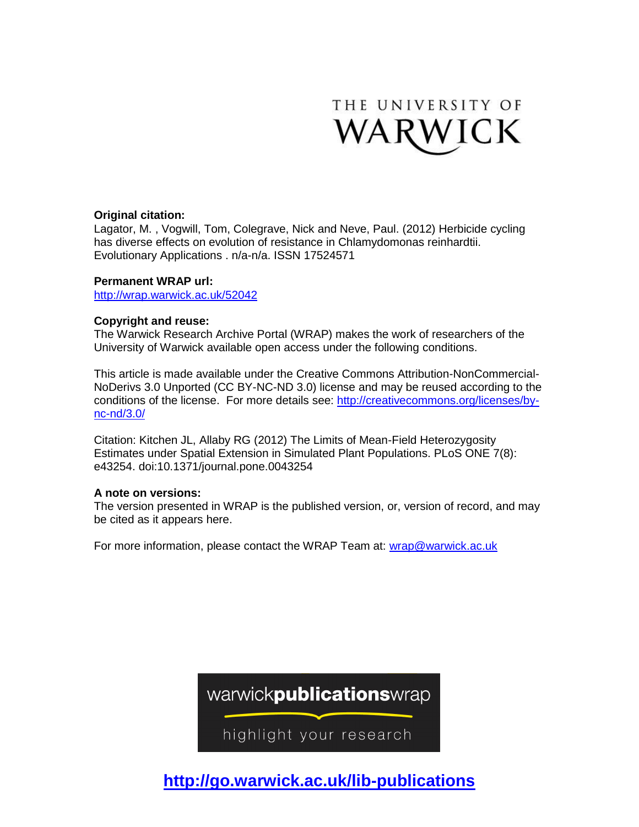

# **Original citation:**

Lagator, M. , Vogwill, Tom, Colegrave, Nick and Neve, Paul. (2012) Herbicide cycling has diverse effects on evolution of resistance in Chlamydomonas reinhardtii. Evolutionary Applications . n/a-n/a. ISSN 17524571

## **Permanent WRAP url:**

[http://wrap.warwick.ac.uk/52042](http://wrap.warwick.ac.uk/520450)

# **Copyright and reuse:**

The Warwick Research Archive Portal (WRAP) makes the work of researchers of the University of Warwick available open access under the following conditions.

This article is made available under the Creative Commons Attribution-NonCommercial-NoDerivs 3.0 Unported (CC BY-NC-ND 3.0) license and may be reused according to the conditions of the license. For more details see: [http://creativecommons.org/licenses/by](http://creativecommons.org/licenses/by-nc-nd/3.0/)[nc-nd/3.0/](http://creativecommons.org/licenses/by-nc-nd/3.0/)

Citation: Kitchen JL, Allaby RG (2012) The Limits of Mean-Field Heterozygosity Estimates under Spatial Extension in Simulated Plant Populations. PLoS ONE 7(8): e43254. doi:10.1371/journal.pone.0043254

## **A note on versions:**

The version presented in WRAP is the published version, or, version of record, and may be cited as it appears here.

For more information, please contact the WRAP Team at: [wrap@warwick.ac.uk](mailto:wrap@warwick.ac.uk)



**http://go.warwick.ac.uk/lib-publications**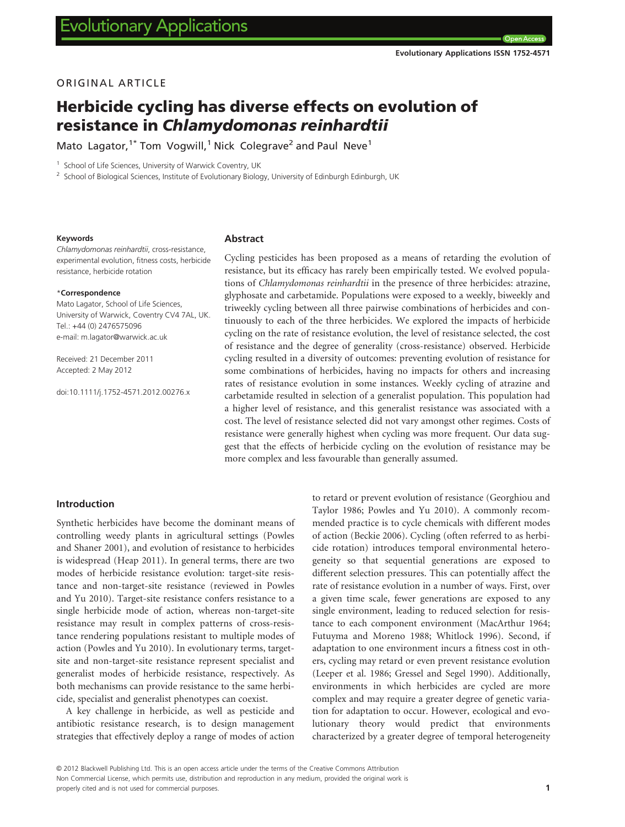#### Evolutionary Applications ISSN 1752-4571

## ORIGINAL ARTICLE

# Herbicide cycling has diverse effects on evolution of resistance in Chlamydomonas reinhardtii

Mato Lagator, $1^*$  Tom Vogwill,<sup>1</sup> Nick Colegrave<sup>2</sup> and Paul Neve<sup>1</sup>

<sup>1</sup> School of Life Sciences, University of Warwick Coventry, UK

<sup>2</sup> School of Biological Sciences, Institute of Evolutionary Biology, University of Edinburgh Edinburgh, UK

#### Keywords

#### Abstract

Chlamydomonas reinhardtii, cross-resistance, experimental evolution, fitness costs, herbicide resistance, herbicide rotation

#### \*Correspondence

Mato Lagator, School of Life Sciences, University of Warwick, Coventry CV4 7AL, UK. Tel.: +44 (0) 2476575096 e-mail: m.lagator@warwick.ac.uk

Received: 21 December 2011 Accepted: 2 May 2012

doi:10.1111/j.1752-4571.2012.00276.x

Cycling pesticides has been proposed as a means of retarding the evolution of resistance, but its efficacy has rarely been empirically tested. We evolved populations of Chlamydomonas reinhardtii in the presence of three herbicides: atrazine, glyphosate and carbetamide. Populations were exposed to a weekly, biweekly and triweekly cycling between all three pairwise combinations of herbicides and continuously to each of the three herbicides. We explored the impacts of herbicide cycling on the rate of resistance evolution, the level of resistance selected, the cost of resistance and the degree of generality (cross-resistance) observed. Herbicide cycling resulted in a diversity of outcomes: preventing evolution of resistance for some combinations of herbicides, having no impacts for others and increasing rates of resistance evolution in some instances. Weekly cycling of atrazine and carbetamide resulted in selection of a generalist population. This population had a higher level of resistance, and this generalist resistance was associated with a cost. The level of resistance selected did not vary amongst other regimes. Costs of resistance were generally highest when cycling was more frequent. Our data suggest that the effects of herbicide cycling on the evolution of resistance may be more complex and less favourable than generally assumed.

#### Introduction

Synthetic herbicides have become the dominant means of controlling weedy plants in agricultural settings (Powles and Shaner 2001), and evolution of resistance to herbicides is widespread (Heap 2011). In general terms, there are two modes of herbicide resistance evolution: target-site resistance and non-target-site resistance (reviewed in Powles and Yu 2010). Target-site resistance confers resistance to a single herbicide mode of action, whereas non-target-site resistance may result in complex patterns of cross-resistance rendering populations resistant to multiple modes of action (Powles and Yu 2010). In evolutionary terms, targetsite and non-target-site resistance represent specialist and generalist modes of herbicide resistance, respectively. As both mechanisms can provide resistance to the same herbicide, specialist and generalist phenotypes can coexist.

A key challenge in herbicide, as well as pesticide and antibiotic resistance research, is to design management strategies that effectively deploy a range of modes of action to retard or prevent evolution of resistance (Georghiou and Taylor 1986; Powles and Yu 2010). A commonly recommended practice is to cycle chemicals with different modes of action (Beckie 2006). Cycling (often referred to as herbicide rotation) introduces temporal environmental heterogeneity so that sequential generations are exposed to different selection pressures. This can potentially affect the rate of resistance evolution in a number of ways. First, over a given time scale, fewer generations are exposed to any single environment, leading to reduced selection for resistance to each component environment (MacArthur 1964; Futuyma and Moreno 1988; Whitlock 1996). Second, if adaptation to one environment incurs a fitness cost in others, cycling may retard or even prevent resistance evolution (Leeper et al. 1986; Gressel and Segel 1990). Additionally, environments in which herbicides are cycled are more complex and may require a greater degree of genetic variation for adaptation to occur. However, ecological and evolutionary theory would predict that environments characterized by a greater degree of temporal heterogeneity

© 2012 Blackwell Publishing Ltd. This is an open access article under the terms of the Creative Commons Attribution Non Commercial License, which permits use, distribution and reproduction in any medium, provided the original work is properly cited and is not used for commercial purposes. 1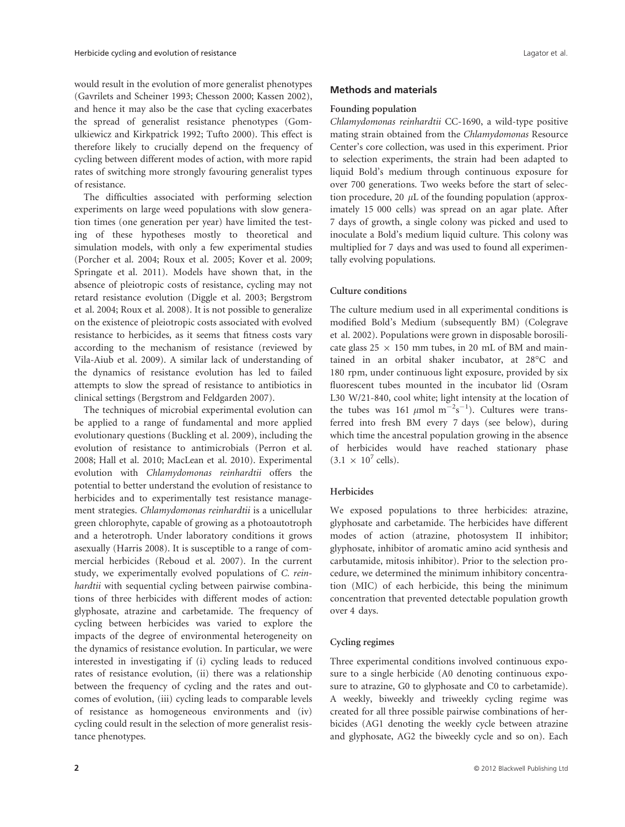would result in the evolution of more generalist phenotypes (Gavrilets and Scheiner 1993; Chesson 2000; Kassen 2002), and hence it may also be the case that cycling exacerbates the spread of generalist resistance phenotypes (Gomulkiewicz and Kirkpatrick 1992; Tufto 2000). This effect is therefore likely to crucially depend on the frequency of cycling between different modes of action, with more rapid rates of switching more strongly favouring generalist types of resistance.

The difficulties associated with performing selection experiments on large weed populations with slow generation times (one generation per year) have limited the testing of these hypotheses mostly to theoretical and simulation models, with only a few experimental studies (Porcher et al. 2004; Roux et al. 2005; Kover et al. 2009; Springate et al. 2011). Models have shown that, in the absence of pleiotropic costs of resistance, cycling may not retard resistance evolution (Diggle et al. 2003; Bergstrom et al. 2004; Roux et al. 2008). It is not possible to generalize on the existence of pleiotropic costs associated with evolved resistance to herbicides, as it seems that fitness costs vary according to the mechanism of resistance (reviewed by Vila-Aiub et al. 2009). A similar lack of understanding of the dynamics of resistance evolution has led to failed attempts to slow the spread of resistance to antibiotics in clinical settings (Bergstrom and Feldgarden 2007).

The techniques of microbial experimental evolution can be applied to a range of fundamental and more applied evolutionary questions (Buckling et al. 2009), including the evolution of resistance to antimicrobials (Perron et al. 2008; Hall et al. 2010; MacLean et al. 2010). Experimental evolution with Chlamydomonas reinhardtii offers the potential to better understand the evolution of resistance to herbicides and to experimentally test resistance management strategies. Chlamydomonas reinhardtii is a unicellular green chlorophyte, capable of growing as a photoautotroph and a heterotroph. Under laboratory conditions it grows asexually (Harris 2008). It is susceptible to a range of commercial herbicides (Reboud et al. 2007). In the current study, we experimentally evolved populations of C. reinhardtii with sequential cycling between pairwise combinations of three herbicides with different modes of action: glyphosate, atrazine and carbetamide. The frequency of cycling between herbicides was varied to explore the impacts of the degree of environmental heterogeneity on the dynamics of resistance evolution. In particular, we were interested in investigating if (i) cycling leads to reduced rates of resistance evolution, (ii) there was a relationship between the frequency of cycling and the rates and outcomes of evolution, (iii) cycling leads to comparable levels of resistance as homogeneous environments and (iv) cycling could result in the selection of more generalist resistance phenotypes.

#### Methods and materials

#### Founding population

Chlamydomonas reinhardtii CC-1690, a wild-type positive mating strain obtained from the Chlamydomonas Resource Center's core collection, was used in this experiment. Prior to selection experiments, the strain had been adapted to liquid Bold's medium through continuous exposure for over 700 generations. Two weeks before the start of selection procedure, 20  $\mu$ L of the founding population (approximately 15 000 cells) was spread on an agar plate. After 7 days of growth, a single colony was picked and used to inoculate a Bold's medium liquid culture. This colony was multiplied for 7 days and was used to found all experimentally evolving populations.

#### Culture conditions

The culture medium used in all experimental conditions is modified Bold's Medium (subsequently BM) (Colegrave et al. 2002). Populations were grown in disposable borosilicate glass  $25 \times 150$  mm tubes, in 20 mL of BM and maintained in an orbital shaker incubator, at 28°C and 180 rpm, under continuous light exposure, provided by six fluorescent tubes mounted in the incubator lid (Osram L30 W/21-840, cool white; light intensity at the location of the tubes was 161  $\mu$ mol m<sup>-2</sup>s<sup>-1</sup>). Cultures were transferred into fresh BM every 7 days (see below), during which time the ancestral population growing in the absence of herbicides would have reached stationary phase  $(3.1 \times 10^7 \text{ cells}).$ 

#### **Herbicides**

We exposed populations to three herbicides: atrazine, glyphosate and carbetamide. The herbicides have different modes of action (atrazine, photosystem II inhibitor; glyphosate, inhibitor of aromatic amino acid synthesis and carbutamide, mitosis inhibitor). Prior to the selection procedure, we determined the minimum inhibitory concentration (MIC) of each herbicide, this being the minimum concentration that prevented detectable population growth over 4 days.

#### Cycling regimes

Three experimental conditions involved continuous exposure to a single herbicide (A0 denoting continuous exposure to atrazine, G0 to glyphosate and C0 to carbetamide). A weekly, biweekly and triweekly cycling regime was created for all three possible pairwise combinations of herbicides (AG1 denoting the weekly cycle between atrazine and glyphosate, AG2 the biweekly cycle and so on). Each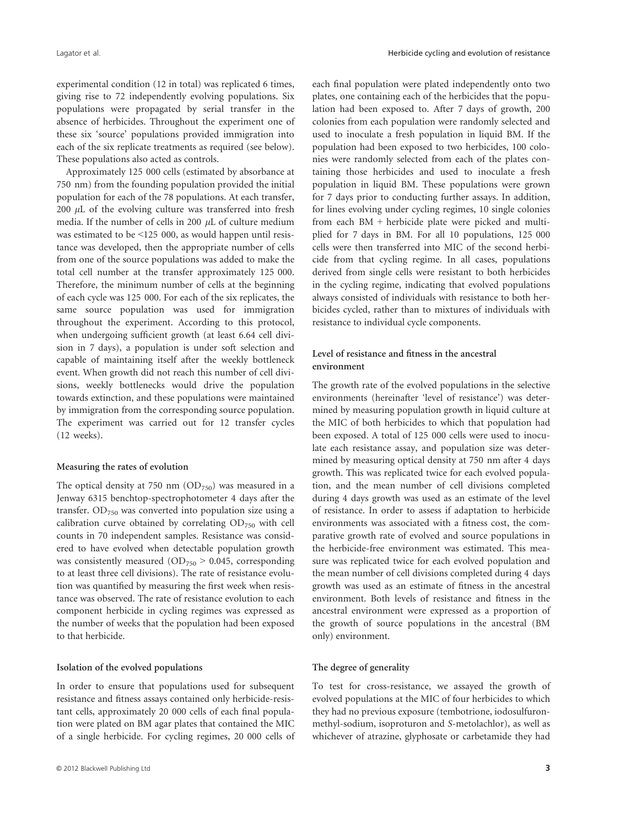experimental condition (12 in total) was replicated 6 times, giving rise to 72 independently evolving populations. Six populations were propagated by serial transfer in the absence of herbicides. Throughout the experiment one of these six 'source' populations provided immigration into each of the six replicate treatments as required (see below). These populations also acted as controls.

Approximately 125 000 cells (estimated by absorbance at 750 nm) from the founding population provided the initial population for each of the 78 populations. At each transfer, 200  $\mu$ L of the evolving culture was transferred into fresh media. If the number of cells in 200  $\mu$ L of culture medium was estimated to be <125 000, as would happen until resistance was developed, then the appropriate number of cells from one of the source populations was added to make the total cell number at the transfer approximately 125 000. Therefore, the minimum number of cells at the beginning of each cycle was 125 000. For each of the six replicates, the same source population was used for immigration throughout the experiment. According to this protocol, when undergoing sufficient growth (at least 6.64 cell division in 7 days), a population is under soft selection and capable of maintaining itself after the weekly bottleneck event. When growth did not reach this number of cell divisions, weekly bottlenecks would drive the population towards extinction, and these populations were maintained by immigration from the corresponding source population. The experiment was carried out for 12 transfer cycles (12 weeks).

#### Measuring the rates of evolution

The optical density at 750 nm  $(OD_{750})$  was measured in a Jenway 6315 benchtop-spectrophotometer 4 days after the transfer.  $OD_{750}$  was converted into population size using a calibration curve obtained by correlating  $OD_{750}$  with cell counts in 70 independent samples. Resistance was considered to have evolved when detectable population growth was consistently measured ( $OD_{750} > 0.045$ , corresponding to at least three cell divisions). The rate of resistance evolution was quantified by measuring the first week when resistance was observed. The rate of resistance evolution to each component herbicide in cycling regimes was expressed as the number of weeks that the population had been exposed to that herbicide.

#### Isolation of the evolved populations

In order to ensure that populations used for subsequent resistance and fitness assays contained only herbicide-resistant cells, approximately 20 000 cells of each final population were plated on BM agar plates that contained the MIC of a single herbicide. For cycling regimes, 20 000 cells of each final population were plated independently onto two plates, one containing each of the herbicides that the population had been exposed to. After 7 days of growth, 200 colonies from each population were randomly selected and used to inoculate a fresh population in liquid BM. If the population had been exposed to two herbicides, 100 colonies were randomly selected from each of the plates containing those herbicides and used to inoculate a fresh population in liquid BM. These populations were grown for 7 days prior to conducting further assays. In addition, for lines evolving under cycling regimes, 10 single colonies from each BM + herbicide plate were picked and multiplied for 7 days in BM. For all 10 populations, 125 000 cells were then transferred into MIC of the second herbicide from that cycling regime. In all cases, populations derived from single cells were resistant to both herbicides in the cycling regime, indicating that evolved populations always consisted of individuals with resistance to both herbicides cycled, rather than to mixtures of individuals with resistance to individual cycle components.

## Level of resistance and fitness in the ancestral environment

The growth rate of the evolved populations in the selective environments (hereinafter 'level of resistance') was determined by measuring population growth in liquid culture at the MIC of both herbicides to which that population had been exposed. A total of 125 000 cells were used to inoculate each resistance assay, and population size was determined by measuring optical density at 750 nm after 4 days growth. This was replicated twice for each evolved population, and the mean number of cell divisions completed during 4 days growth was used as an estimate of the level of resistance. In order to assess if adaptation to herbicide environments was associated with a fitness cost, the comparative growth rate of evolved and source populations in the herbicide-free environment was estimated. This measure was replicated twice for each evolved population and the mean number of cell divisions completed during 4 days growth was used as an estimate of fitness in the ancestral environment. Both levels of resistance and fitness in the ancestral environment were expressed as a proportion of the growth of source populations in the ancestral (BM only) environment.

#### The degree of generality

To test for cross-resistance, we assayed the growth of evolved populations at the MIC of four herbicides to which they had no previous exposure (tembotrione, iodosulfuronmethyl-sodium, isoproturon and S-metolachlor), as well as whichever of atrazine, glyphosate or carbetamide they had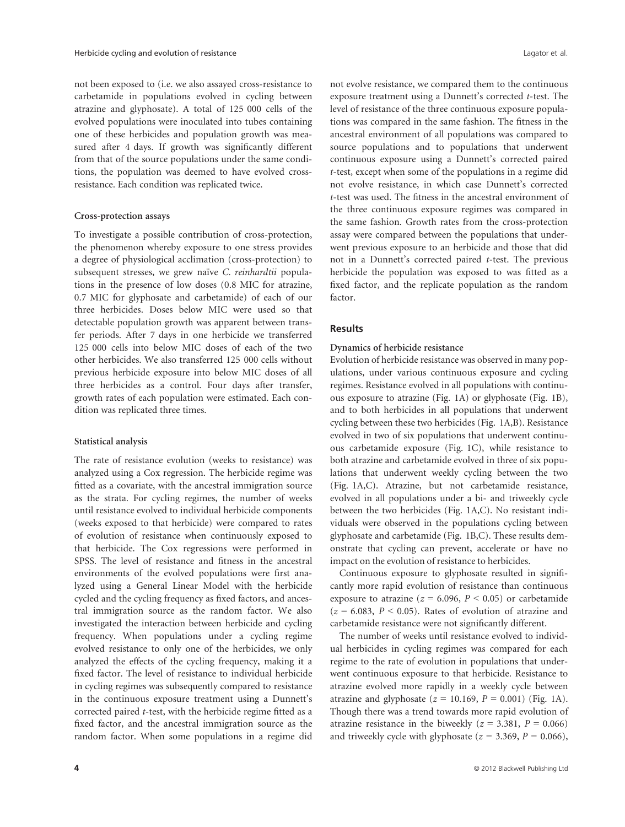not been exposed to (i.e. we also assayed cross-resistance to carbetamide in populations evolved in cycling between atrazine and glyphosate). A total of 125 000 cells of the evolved populations were inoculated into tubes containing one of these herbicides and population growth was measured after 4 days. If growth was significantly different from that of the source populations under the same conditions, the population was deemed to have evolved crossresistance. Each condition was replicated twice.

#### Cross-protection assays

To investigate a possible contribution of cross-protection, the phenomenon whereby exposure to one stress provides a degree of physiological acclimation (cross-protection) to subsequent stresses, we grew naïve C. reinhardtii populations in the presence of low doses (0.8 MIC for atrazine, 0.7 MIC for glyphosate and carbetamide) of each of our three herbicides. Doses below MIC were used so that detectable population growth was apparent between transfer periods. After 7 days in one herbicide we transferred 125 000 cells into below MIC doses of each of the two other herbicides. We also transferred 125 000 cells without previous herbicide exposure into below MIC doses of all three herbicides as a control. Four days after transfer, growth rates of each population were estimated. Each condition was replicated three times.

#### Statistical analysis

The rate of resistance evolution (weeks to resistance) was analyzed using a Cox regression. The herbicide regime was fitted as a covariate, with the ancestral immigration source as the strata. For cycling regimes, the number of weeks until resistance evolved to individual herbicide components (weeks exposed to that herbicide) were compared to rates of evolution of resistance when continuously exposed to that herbicide. The Cox regressions were performed in SPSS. The level of resistance and fitness in the ancestral environments of the evolved populations were first analyzed using a General Linear Model with the herbicide cycled and the cycling frequency as fixed factors, and ancestral immigration source as the random factor. We also investigated the interaction between herbicide and cycling frequency. When populations under a cycling regime evolved resistance to only one of the herbicides, we only analyzed the effects of the cycling frequency, making it a fixed factor. The level of resistance to individual herbicide in cycling regimes was subsequently compared to resistance in the continuous exposure treatment using a Dunnett's corrected paired t-test, with the herbicide regime fitted as a fixed factor, and the ancestral immigration source as the random factor. When some populations in a regime did

not evolve resistance, we compared them to the continuous exposure treatment using a Dunnett's corrected t-test. The level of resistance of the three continuous exposure populations was compared in the same fashion. The fitness in the ancestral environment of all populations was compared to source populations and to populations that underwent continuous exposure using a Dunnett's corrected paired t-test, except when some of the populations in a regime did not evolve resistance, in which case Dunnett's corrected t-test was used. The fitness in the ancestral environment of the three continuous exposure regimes was compared in the same fashion. Growth rates from the cross-protection assay were compared between the populations that underwent previous exposure to an herbicide and those that did not in a Dunnett's corrected paired t-test. The previous herbicide the population was exposed to was fitted as a fixed factor, and the replicate population as the random factor.

### Results

#### Dynamics of herbicide resistance

Evolution of herbicide resistance was observed in many populations, under various continuous exposure and cycling regimes. Resistance evolved in all populations with continuous exposure to atrazine (Fig. 1A) or glyphosate (Fig. 1B), and to both herbicides in all populations that underwent cycling between these two herbicides (Fig. 1A,B). Resistance evolved in two of six populations that underwent continuous carbetamide exposure (Fig. 1C), while resistance to both atrazine and carbetamide evolved in three of six populations that underwent weekly cycling between the two (Fig. 1A,C). Atrazine, but not carbetamide resistance, evolved in all populations under a bi- and triweekly cycle between the two herbicides (Fig. 1A,C). No resistant individuals were observed in the populations cycling between glyphosate and carbetamide (Fig. 1B,C). These results demonstrate that cycling can prevent, accelerate or have no impact on the evolution of resistance to herbicides.

Continuous exposure to glyphosate resulted in significantly more rapid evolution of resistance than continuous exposure to atrazine ( $z = 6.096$ ,  $P < 0.05$ ) or carbetamide  $(z = 6.083, P < 0.05)$ . Rates of evolution of atrazine and carbetamide resistance were not significantly different.

The number of weeks until resistance evolved to individual herbicides in cycling regimes was compared for each regime to the rate of evolution in populations that underwent continuous exposure to that herbicide. Resistance to atrazine evolved more rapidly in a weekly cycle between atrazine and glyphosate ( $z = 10.169$ ,  $P = 0.001$ ) (Fig. 1A). Though there was a trend towards more rapid evolution of atrazine resistance in the biweekly ( $z = 3.381$ ,  $P = 0.066$ ) and triweekly cycle with glyphosate ( $z = 3.369$ ,  $P = 0.066$ ),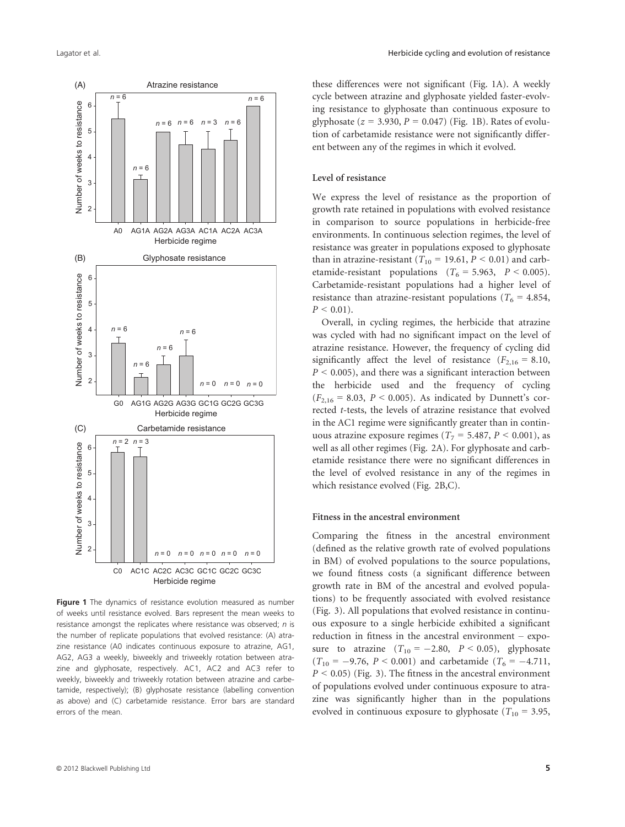

Figure 1 The dynamics of resistance evolution measured as number of weeks until resistance evolved. Bars represent the mean weeks to resistance amongst the replicates where resistance was observed;  $n$  is the number of replicate populations that evolved resistance: (A) atrazine resistance (A0 indicates continuous exposure to atrazine, AG1, AG2, AG3 a weekly, biweekly and triweekly rotation between atrazine and glyphosate, respectively. AC1, AC2 and AC3 refer to weekly, biweekly and triweekly rotation between atrazine and carbetamide, respectively); (B) glyphosate resistance (labelling convention as above) and (C) carbetamide resistance. Error bars are standard errors of the mean.

these differences were not significant (Fig. 1A). A weekly cycle between atrazine and glyphosate yielded faster-evolving resistance to glyphosate than continuous exposure to glyphosate ( $z = 3.930$ ,  $P = 0.047$ ) (Fig. 1B). Rates of evolution of carbetamide resistance were not significantly different between any of the regimes in which it evolved.

#### Level of resistance

We express the level of resistance as the proportion of growth rate retained in populations with evolved resistance in comparison to source populations in herbicide-free environments. In continuous selection regimes, the level of resistance was greater in populations exposed to glyphosate than in atrazine-resistant ( $T_{10}$  = 19.61,  $P$  < 0.01) and carbetamide-resistant populations ( $T_6 = 5.963$ ,  $P < 0.005$ ). Carbetamide-resistant populations had a higher level of resistance than atrazine-resistant populations ( $T_6 = 4.854$ ,  $P < 0.01$ ).

Overall, in cycling regimes, the herbicide that atrazine was cycled with had no significant impact on the level of atrazine resistance. However, the frequency of cycling did significantly affect the level of resistance ( $F_{2,16} = 8.10$ ,  $P < 0.005$ ), and there was a significant interaction between the herbicide used and the frequency of cycling  $(F_{2,16} = 8.03, P < 0.005)$ . As indicated by Dunnett's corrected t-tests, the levels of atrazine resistance that evolved in the AC1 regime were significantly greater than in continuous atrazine exposure regimes ( $T_7 = 5.487$ ,  $P \le 0.001$ ), as well as all other regimes (Fig. 2A). For glyphosate and carbetamide resistance there were no significant differences in the level of evolved resistance in any of the regimes in which resistance evolved (Fig. 2B,C).

#### Fitness in the ancestral environment

Comparing the fitness in the ancestral environment (defined as the relative growth rate of evolved populations in BM) of evolved populations to the source populations, we found fitness costs (a significant difference between growth rate in BM of the ancestral and evolved populations) to be frequently associated with evolved resistance (Fig. 3). All populations that evolved resistance in continuous exposure to a single herbicide exhibited a significant reduction in fitness in the ancestral environment – exposure to atrazine  $(T_{10} = -2.80, P < 0.05)$ , glyphosate  $(T_{10} = -9.76, P < 0.001)$  and carbetamide  $(T_6 = -4.711,$  $P < 0.05$ ) (Fig. 3). The fitness in the ancestral environment of populations evolved under continuous exposure to atrazine was significantly higher than in the populations evolved in continuous exposure to glyphosate ( $T_{10}$  = 3.95,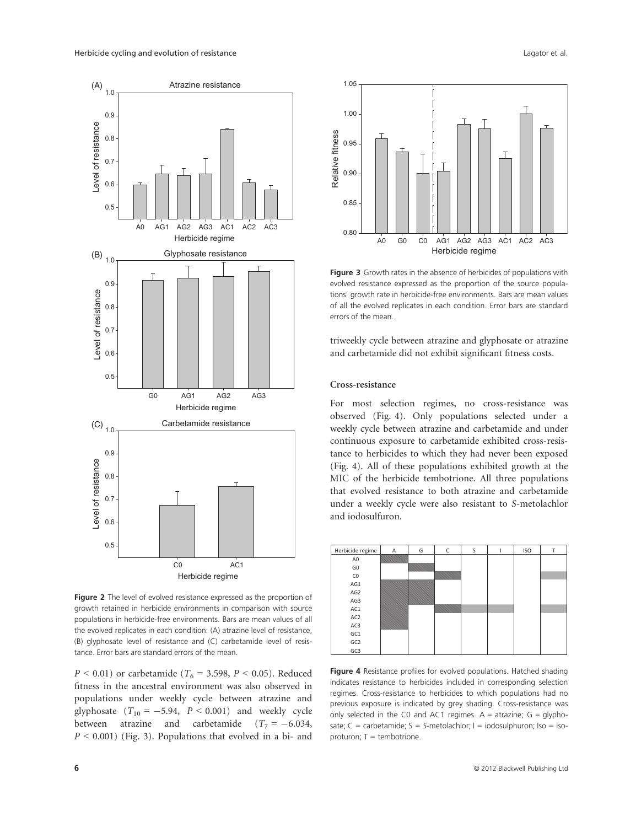

Figure 2 The level of evolved resistance expressed as the proportion of growth retained in herbicide environments in comparison with source populations in herbicide-free environments. Bars are mean values of all the evolved replicates in each condition: (A) atrazine level of resistance, (B) glyphosate level of resistance and (C) carbetamide level of resistance. Error bars are standard errors of the mean.

 $P < 0.01$ ) or carbetamide ( $T_6 = 3.598, P < 0.05$ ). Reduced fitness in the ancestral environment was also observed in populations under weekly cycle between atrazine and glyphosate ( $T_{10} = -5.94$ ,  $P < 0.001$ ) and weekly cycle between atrazine and carbetamide  $(T_7 = -6.034,$  $P < 0.001$ ) (Fig. 3). Populations that evolved in a bi- and



Herbicide regime Figure 3 Growth rates in the absence of herbicides of populations with evolved resistance expressed as the proportion of the source populations' growth rate in herbicide-free environments. Bars are mean values of all the evolved replicates in each condition. Error bars are standard errors of the mean.

A0 G0 C0 AG1 AG2 AG3 AC1 AC2 AC3

triweekly cycle between atrazine and glyphosate or atrazine and carbetamide did not exhibit significant fitness costs.

#### Cross-resistance

Relative fitness

Relative fitness

0.80

0.85

0.90

0.95

1.00

1.05

For most selection regimes, no cross-resistance was observed (Fig. 4). Only populations selected under a weekly cycle between atrazine and carbetamide and under continuous exposure to carbetamide exhibited cross-resistance to herbicides to which they had never been exposed (Fig. 4). All of these populations exhibited growth at the MIC of the herbicide tembotrione. All three populations that evolved resistance to both atrazine and carbetamide under a weekly cycle were also resistant to S-metolachlor and iodosulfuron.



Figure 4 Resistance profiles for evolved populations. Hatched shading indicates resistance to herbicides included in corresponding selection regimes. Cross-resistance to herbicides to which populations had no previous exposure is indicated by grey shading. Cross-resistance was only selected in the C0 and AC1 regimes.  $A = \frac{1}{2}$  atrazine;  $G = \frac{1}{2}$ yphosate; C = carbetamide; S = S-metolachlor; I = iodosulphuron; Iso = isoproturon;  $T =$  tembotrione.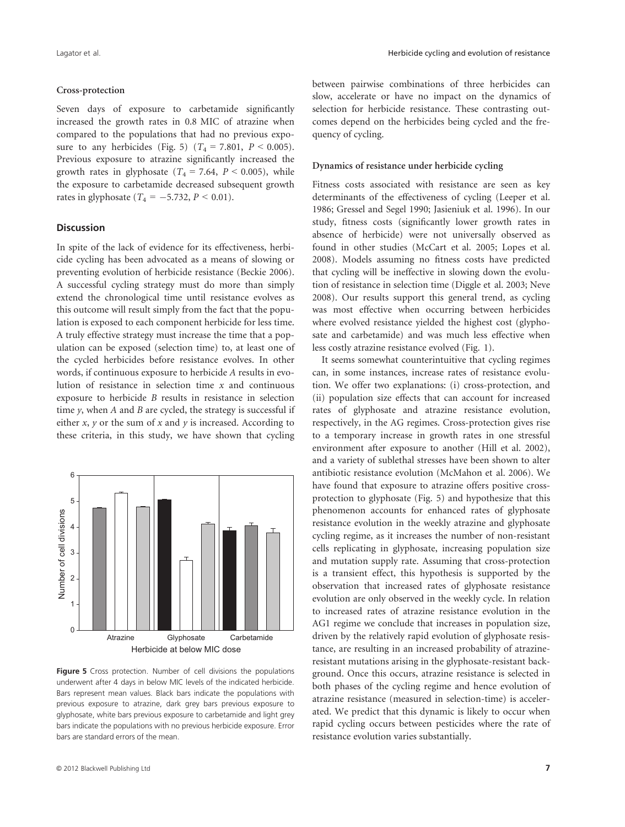#### Cross-protection

Seven days of exposure to carbetamide significantly increased the growth rates in 0.8 MIC of atrazine when compared to the populations that had no previous exposure to any herbicides (Fig. 5) ( $T_4 = 7.801$ ,  $P < 0.005$ ). Previous exposure to atrazine significantly increased the growth rates in glyphosate ( $T_4$  = 7.64,  $P$  < 0.005), while the exposure to carbetamide decreased subsequent growth rates in glyphosate ( $T_4 = -5.732$ ,  $P < 0.01$ ).

#### **Discussion**

In spite of the lack of evidence for its effectiveness, herbicide cycling has been advocated as a means of slowing or preventing evolution of herbicide resistance (Beckie 2006). A successful cycling strategy must do more than simply extend the chronological time until resistance evolves as this outcome will result simply from the fact that the population is exposed to each component herbicide for less time. A truly effective strategy must increase the time that a population can be exposed (selection time) to, at least one of the cycled herbicides before resistance evolves. In other words, if continuous exposure to herbicide A results in evolution of resistance in selection time  $x$  and continuous exposure to herbicide B results in resistance in selection time  $y$ , when  $A$  and  $B$  are cycled, the strategy is successful if either  $x$ ,  $y$  or the sum of  $x$  and  $y$  is increased. According to these criteria, in this study, we have shown that cycling



Figure 5 Cross protection. Number of cell divisions the populations underwent after 4 days in below MIC levels of the indicated herbicide. Bars represent mean values. Black bars indicate the populations with previous exposure to atrazine, dark grey bars previous exposure to glyphosate, white bars previous exposure to carbetamide and light grey bars indicate the populations with no previous herbicide exposure. Error bars are standard errors of the mean.

between pairwise combinations of three herbicides can slow, accelerate or have no impact on the dynamics of selection for herbicide resistance. These contrasting outcomes depend on the herbicides being cycled and the frequency of cycling.

#### Dynamics of resistance under herbicide cycling

Fitness costs associated with resistance are seen as key determinants of the effectiveness of cycling (Leeper et al. 1986; Gressel and Segel 1990; Jasieniuk et al. 1996). In our study, fitness costs (significantly lower growth rates in absence of herbicide) were not universally observed as found in other studies (McCart et al. 2005; Lopes et al. 2008). Models assuming no fitness costs have predicted that cycling will be ineffective in slowing down the evolution of resistance in selection time (Diggle et al. 2003; Neve 2008). Our results support this general trend, as cycling was most effective when occurring between herbicides where evolved resistance yielded the highest cost (glyphosate and carbetamide) and was much less effective when less costly atrazine resistance evolved (Fig. 1).

It seems somewhat counterintuitive that cycling regimes can, in some instances, increase rates of resistance evolution. We offer two explanations: (i) cross-protection, and (ii) population size effects that can account for increased rates of glyphosate and atrazine resistance evolution, respectively, in the AG regimes. Cross-protection gives rise to a temporary increase in growth rates in one stressful environment after exposure to another (Hill et al. 2002), and a variety of sublethal stresses have been shown to alter antibiotic resistance evolution (McMahon et al. 2006). We have found that exposure to atrazine offers positive crossprotection to glyphosate (Fig. 5) and hypothesize that this phenomenon accounts for enhanced rates of glyphosate resistance evolution in the weekly atrazine and glyphosate cycling regime, as it increases the number of non-resistant cells replicating in glyphosate, increasing population size and mutation supply rate. Assuming that cross-protection is a transient effect, this hypothesis is supported by the observation that increased rates of glyphosate resistance evolution are only observed in the weekly cycle. In relation to increased rates of atrazine resistance evolution in the AG1 regime we conclude that increases in population size, driven by the relatively rapid evolution of glyphosate resistance, are resulting in an increased probability of atrazineresistant mutations arising in the glyphosate-resistant background. Once this occurs, atrazine resistance is selected in both phases of the cycling regime and hence evolution of atrazine resistance (measured in selection-time) is accelerated. We predict that this dynamic is likely to occur when rapid cycling occurs between pesticides where the rate of resistance evolution varies substantially.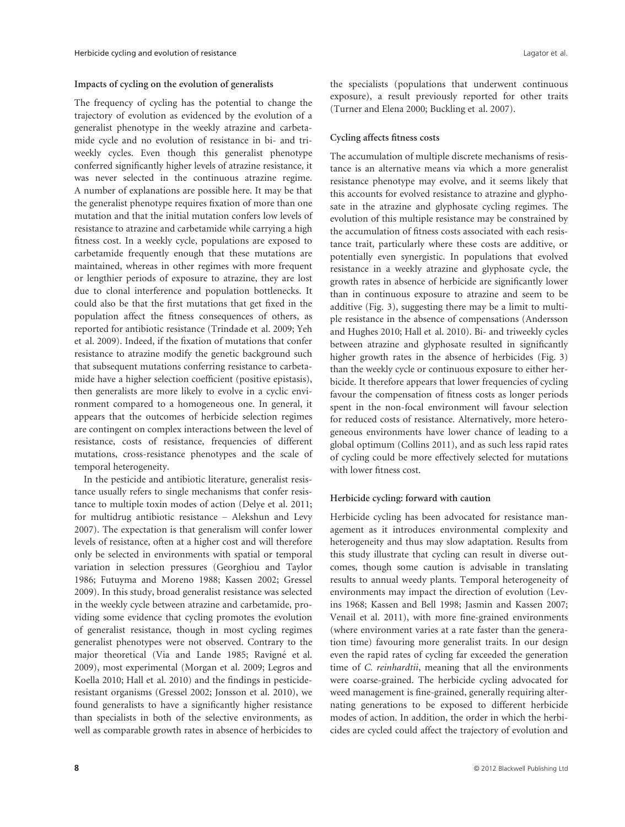### Impacts of cycling on the evolution of generalists

The frequency of cycling has the potential to change the trajectory of evolution as evidenced by the evolution of a generalist phenotype in the weekly atrazine and carbetamide cycle and no evolution of resistance in bi- and triweekly cycles. Even though this generalist phenotype conferred significantly higher levels of atrazine resistance, it was never selected in the continuous atrazine regime. A number of explanations are possible here. It may be that the generalist phenotype requires fixation of more than one mutation and that the initial mutation confers low levels of resistance to atrazine and carbetamide while carrying a high fitness cost. In a weekly cycle, populations are exposed to carbetamide frequently enough that these mutations are maintained, whereas in other regimes with more frequent or lengthier periods of exposure to atrazine, they are lost due to clonal interference and population bottlenecks. It could also be that the first mutations that get fixed in the population affect the fitness consequences of others, as reported for antibiotic resistance (Trindade et al. 2009; Yeh et al. 2009). Indeed, if the fixation of mutations that confer resistance to atrazine modify the genetic background such that subsequent mutations conferring resistance to carbetamide have a higher selection coefficient (positive epistasis), then generalists are more likely to evolve in a cyclic environment compared to a homogeneous one. In general, it appears that the outcomes of herbicide selection regimes are contingent on complex interactions between the level of resistance, costs of resistance, frequencies of different mutations, cross-resistance phenotypes and the scale of temporal heterogeneity.

In the pesticide and antibiotic literature, generalist resistance usually refers to single mechanisms that confer resistance to multiple toxin modes of action (Delye et al. 2011; for multidrug antibiotic resistance – Alekshun and Levy 2007). The expectation is that generalism will confer lower levels of resistance, often at a higher cost and will therefore only be selected in environments with spatial or temporal variation in selection pressures (Georghiou and Taylor 1986; Futuyma and Moreno 1988; Kassen 2002; Gressel 2009). In this study, broad generalist resistance was selected in the weekly cycle between atrazine and carbetamide, providing some evidence that cycling promotes the evolution of generalist resistance, though in most cycling regimes generalist phenotypes were not observed. Contrary to the major theoretical (Via and Lande 1985; Ravigné et al. 2009), most experimental (Morgan et al. 2009; Legros and Koella 2010; Hall et al. 2010) and the findings in pesticideresistant organisms (Gressel 2002; Jonsson et al. 2010), we found generalists to have a significantly higher resistance than specialists in both of the selective environments, as well as comparable growth rates in absence of herbicides to

the specialists (populations that underwent continuous exposure), a result previously reported for other traits (Turner and Elena 2000; Buckling et al. 2007).

#### Cycling affects fitness costs

The accumulation of multiple discrete mechanisms of resistance is an alternative means via which a more generalist resistance phenotype may evolve, and it seems likely that this accounts for evolved resistance to atrazine and glyphosate in the atrazine and glyphosate cycling regimes. The evolution of this multiple resistance may be constrained by the accumulation of fitness costs associated with each resistance trait, particularly where these costs are additive, or potentially even synergistic. In populations that evolved resistance in a weekly atrazine and glyphosate cycle, the growth rates in absence of herbicide are significantly lower than in continuous exposure to atrazine and seem to be additive (Fig. 3), suggesting there may be a limit to multiple resistance in the absence of compensations (Andersson and Hughes 2010; Hall et al. 2010). Bi- and triweekly cycles between atrazine and glyphosate resulted in significantly higher growth rates in the absence of herbicides (Fig. 3) than the weekly cycle or continuous exposure to either herbicide. It therefore appears that lower frequencies of cycling favour the compensation of fitness costs as longer periods spent in the non-focal environment will favour selection for reduced costs of resistance. Alternatively, more heterogeneous environments have lower chance of leading to a global optimum (Collins 2011), and as such less rapid rates of cycling could be more effectively selected for mutations with lower fitness cost.

#### Herbicide cycling: forward with caution

Herbicide cycling has been advocated for resistance management as it introduces environmental complexity and heterogeneity and thus may slow adaptation. Results from this study illustrate that cycling can result in diverse outcomes, though some caution is advisable in translating results to annual weedy plants. Temporal heterogeneity of environments may impact the direction of evolution (Levins 1968; Kassen and Bell 1998; Jasmin and Kassen 2007; Venail et al. 2011), with more fine-grained environments (where environment varies at a rate faster than the generation time) favouring more generalist traits. In our design even the rapid rates of cycling far exceeded the generation time of C. reinhardtii, meaning that all the environments were coarse-grained. The herbicide cycling advocated for weed management is fine-grained, generally requiring alternating generations to be exposed to different herbicide modes of action. In addition, the order in which the herbicides are cycled could affect the trajectory of evolution and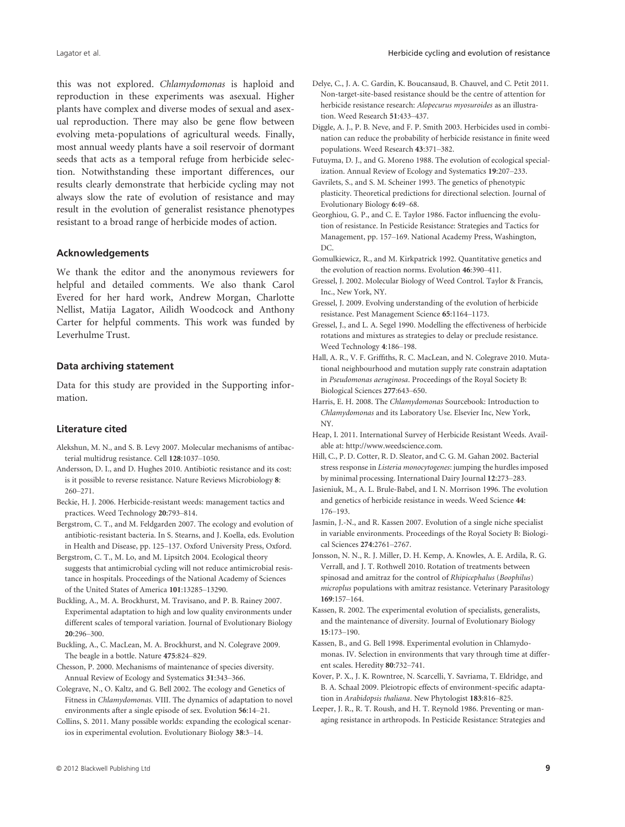this was not explored. Chlamydomonas is haploid and reproduction in these experiments was asexual. Higher plants have complex and diverse modes of sexual and asexual reproduction. There may also be gene flow between evolving meta-populations of agricultural weeds. Finally, most annual weedy plants have a soil reservoir of dormant seeds that acts as a temporal refuge from herbicide selection. Notwithstanding these important differences, our results clearly demonstrate that herbicide cycling may not always slow the rate of evolution of resistance and may result in the evolution of generalist resistance phenotypes resistant to a broad range of herbicide modes of action.

#### Acknowledgements

We thank the editor and the anonymous reviewers for helpful and detailed comments. We also thank Carol Evered for her hard work, Andrew Morgan, Charlotte Nellist, Matija Lagator, Ailidh Woodcock and Anthony Carter for helpful comments. This work was funded by Leverhulme Trust.

#### Data archiving statement

Data for this study are provided in the Supporting information.

### Literature cited

- Alekshun, M. N., and S. B. Levy 2007. Molecular mechanisms of antibacterial multidrug resistance. Cell 128:1037–1050.
- Andersson, D. I., and D. Hughes 2010. Antibiotic resistance and its cost: is it possible to reverse resistance. Nature Reviews Microbiology 8: 260–271.
- Beckie, H. J. 2006. Herbicide-resistant weeds: management tactics and practices. Weed Technology 20:793–814.
- Bergstrom, C. T., and M. Feldgarden 2007. The ecology and evolution of antibiotic-resistant bacteria. In S. Stearns, and J. Koella, eds. Evolution in Health and Disease, pp. 125–137. Oxford University Press, Oxford.
- Bergstrom, C. T., M. Lo, and M. Lipsitch 2004. Ecological theory suggests that antimicrobial cycling will not reduce antimicrobial resistance in hospitals. Proceedings of the National Academy of Sciences of the United States of America 101:13285–13290.
- Buckling, A., M. A. Brockhurst, M. Travisano, and P. B. Rainey 2007. Experimental adaptation to high and low quality environments under different scales of temporal variation. Journal of Evolutionary Biology 20:296–300.
- Buckling, A., C. MacLean, M. A. Brockhurst, and N. Colegrave 2009. The beagle in a bottle. Nature 475:824–829.
- Chesson, P. 2000. Mechanisms of maintenance of species diversity. Annual Review of Ecology and Systematics 31:343–366.
- Colegrave, N., O. Kaltz, and G. Bell 2002. The ecology and Genetics of Fitness in Chlamydomonas. VIII. The dynamics of adaptation to novel environments after a single episode of sex. Evolution 56:14–21.
- Collins, S. 2011. Many possible worlds: expanding the ecological scenarios in experimental evolution. Evolutionary Biology 38:3–14.
- Delye, C., J. A. C. Gardin, K. Boucansaud, B. Chauvel, and C. Petit 2011. Non-target-site-based resistance should be the centre of attention for herbicide resistance research: Alopecurus myosuroides as an illustration. Weed Research 51:433–437.
- Diggle, A. J., P. B. Neve, and F. P. Smith 2003. Herbicides used in combination can reduce the probability of herbicide resistance in finite weed populations. Weed Research 43:371–382.
- Futuyma, D. J., and G. Moreno 1988. The evolution of ecological specialization. Annual Review of Ecology and Systematics 19:207–233.
- Gavrilets, S., and S. M. Scheiner 1993. The genetics of phenotypic plasticity. Theoretical predictions for directional selection. Journal of Evolutionary Biology 6:49–68.
- Georghiou, G. P., and C. E. Taylor 1986. Factor influencing the evolution of resistance. In Pesticide Resistance: Strategies and Tactics for Management, pp. 157–169. National Academy Press, Washington, DC.
- Gomulkiewicz, R., and M. Kirkpatrick 1992. Quantitative genetics and the evolution of reaction norms. Evolution 46:390–411.
- Gressel, J. 2002. Molecular Biology of Weed Control. Taylor & Francis, Inc., New York, NY.
- Gressel, J. 2009. Evolving understanding of the evolution of herbicide resistance. Pest Management Science 65:1164–1173.
- Gressel, J., and L. A. Segel 1990. Modelling the effectiveness of herbicide rotations and mixtures as strategies to delay or preclude resistance. Weed Technology 4:186–198.
- Hall, A. R., V. F. Griffiths, R. C. MacLean, and N. Colegrave 2010. Mutational neighbourhood and mutation supply rate constrain adaptation in Pseudomonas aeruginosa. Proceedings of the Royal Society B: Biological Sciences 277:643–650.
- Harris, E. H. 2008. The Chlamydomonas Sourcebook: Introduction to Chlamydomonas and its Laboratory Use. Elsevier Inc, New York, NY.
- Heap, I. 2011. International Survey of Herbicide Resistant Weeds. Available at: http://www.weedscience.com.
- Hill, C., P. D. Cotter, R. D. Sleator, and C. G. M. Gahan 2002. Bacterial stress response in Listeria monocytogenes: jumping the hurdles imposed by minimal processing. International Dairy Journal 12:273–283.
- Jasieniuk, M., A. L. Brule-Babel, and I. N. Morrison 1996. The evolution and genetics of herbicide resistance in weeds. Weed Science 44: 176–193.
- Jasmin, J.-N., and R. Kassen 2007. Evolution of a single niche specialist in variable environments. Proceedings of the Royal Society B: Biological Sciences 274:2761–2767.
- Jonsson, N. N., R. J. Miller, D. H. Kemp, A. Knowles, A. E. Ardila, R. G. Verrall, and J. T. Rothwell 2010. Rotation of treatments between spinosad and amitraz for the control of Rhipicephalus (Boophilus) microplus populations with amitraz resistance. Veterinary Parasitology 169:157–164.
- Kassen, R. 2002. The experimental evolution of specialists, generalists, and the maintenance of diversity. Journal of Evolutionary Biology 15:173–190.
- Kassen, B., and G. Bell 1998. Experimental evolution in Chlamydomonas. IV. Selection in environments that vary through time at different scales. Heredity 80:732–741.
- Kover, P. X., J. K. Rowntree, N. Scarcelli, Y. Savriama, T. Eldridge, and B. A. Schaal 2009. Pleiotropic effects of environment-specific adaptation in Arabidopsis thaliana. New Phytologist 183:816–825.
- Leeper, J. R., R. T. Roush, and H. T. Reynold 1986. Preventing or managing resistance in arthropods. In Pesticide Resistance: Strategies and